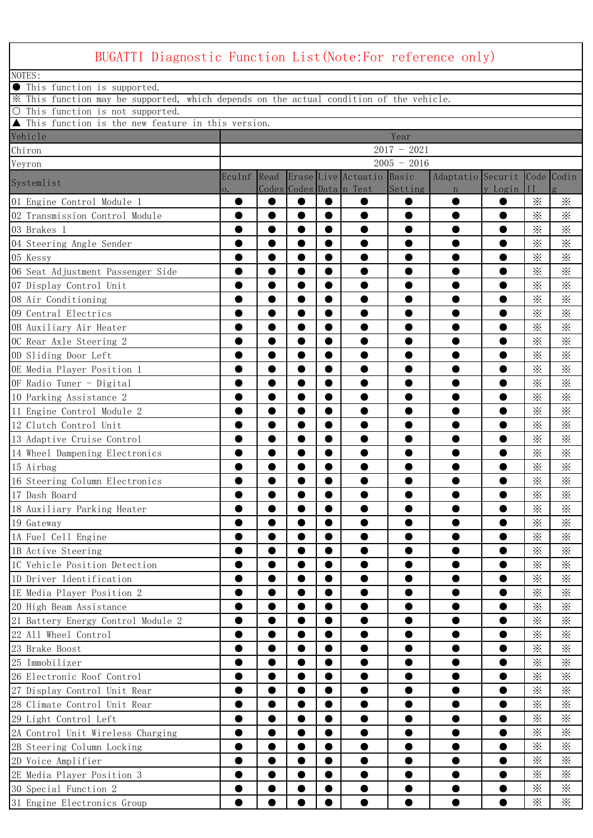| BUGATTI Diagnostic Function List (Note: For reference only)                             |              |           |           |           |                                                      |               |                                             |           |                      |                      |
|-----------------------------------------------------------------------------------------|--------------|-----------|-----------|-----------|------------------------------------------------------|---------------|---------------------------------------------|-----------|----------------------|----------------------|
| NOTES:                                                                                  |              |           |           |           |                                                      |               |                                             |           |                      |                      |
| This function is supported.                                                             |              |           |           |           |                                                      |               |                                             |           |                      |                      |
| X This function may be supported, which depends on the actual condition of the vehicle. |              |           |           |           |                                                      |               |                                             |           |                      |                      |
| O This function is not supported.                                                       |              |           |           |           |                                                      |               |                                             |           |                      |                      |
| ▲ This function is the new feature in this version.                                     |              |           |           |           |                                                      |               |                                             |           |                      |                      |
| Vehicle                                                                                 |              |           |           |           |                                                      | Year          |                                             |           |                      |                      |
| Chiron                                                                                  |              |           |           |           |                                                      | $2017 - 2021$ |                                             |           |                      |                      |
| Veyron                                                                                  |              |           |           |           |                                                      | $2005 - 2016$ |                                             |           |                      |                      |
| Systemlist                                                                              | EcuInf<br>0. | Read      |           |           | Erase Live Actuatio Basic<br>Codes Codes Data n Test | Setting       | Adaptatio Securit Code Codin<br>$\mathbf n$ | y Login   | $_{II}$              |                      |
| 01 Engine Control Module 1                                                              |              |           | $\bullet$ |           |                                                      |               |                                             |           | $\times$             | $\times$             |
| 02 Transmission Control Module                                                          | ●            | $\bullet$ | $\bullet$ | $\bullet$ | ●                                                    | ●             | 0                                           | $\bullet$ | $\times$             | $\times$             |
| 03 Brakes 1                                                                             |              |           | ●         | $\bullet$ |                                                      |               |                                             |           | $\ddot{\times}$      | ፠                    |
| 04 Steering Angle Sender                                                                |              |           |           |           |                                                      |               |                                             |           | $\ddot{\times}$      | $\times$             |
| 05 Kessy                                                                                | 0            | $\bullet$ | 0         | $\bullet$ | 0                                                    | O             | $\bullet$                                   | 0         | $\times$             | $\times$             |
| 06 Seat Adjustment Passenger Side                                                       | ●            | $\bullet$ | $\bullet$ | $\bullet$ | $\bullet$                                            | ●             | ●                                           | $\bullet$ | $\times$             | $\times$             |
| 07 Display Control Unit                                                                 |              |           | e         |           |                                                      | O             | 0                                           | 0         | $\ddot{\times}$      | $\times$             |
| 08 Air Conditioning                                                                     | 0            | $\bullet$ | 0         | $\bullet$ | 0                                                    | O             | 0                                           | 0         | $\times$             | $\times$             |
| 09 Central Electrics                                                                    |              | ●         | ●         | $\bullet$ |                                                      |               |                                             | $\bullet$ | $\times$             | $\times$             |
| OB Auxiliary Air Heater                                                                 |              |           | e         | $\bullet$ |                                                      |               |                                             |           | $\ddot{\times}$      | $\times$             |
| OC Rear Axle Steering 2                                                                 | 0            |           | 0         | $\bullet$ |                                                      | O             |                                             |           | $\times$             | $\times$             |
| OD Sliding Door Left                                                                    |              | 0         | ●         | $\bullet$ | 0                                                    | ●             | 0                                           | ●         | $\times$             | $\times$             |
| OE Media Player Position 1                                                              |              |           | e         |           |                                                      |               | e                                           | O         | $\ddot{\times}$      | $\times$             |
| OF Radio Tuner - Digital                                                                |              |           | 0         | $\bullet$ |                                                      |               |                                             |           | $\times$             | $\times$             |
| 10 Parking Assistance 2                                                                 |              | ●         | $\bullet$ | $\bullet$ |                                                      |               |                                             | 0         | $\times$             | $\times$             |
| 11 Engine Control Module 2                                                              |              |           | ●         | $\bullet$ |                                                      |               |                                             |           | $\ddot{\times}$      | $\times$             |
| 12 Clutch Control Unit                                                                  | ●            | $\bullet$ | 0         | $\bullet$ |                                                      | ●             | ●                                           | 0         | $\times$             | $\times$             |
| 13 Adaptive Cruise Control                                                              |              |           | ●         | ●         |                                                      |               |                                             | 0         | $\times$             | $\times$             |
| 14 Wheel Dampening Electronics                                                          |              |           | 0         | $\bullet$ |                                                      |               |                                             | 0         | $\times$             | $\times$             |
| 15 Airbag                                                                               |              |           | ●         | $\bullet$ |                                                      |               |                                             |           | $\times$             | $\times$             |
| 16 Steering Column Electronics                                                          |              |           |           |           |                                                      |               |                                             |           | $\times$             | $\times$             |
| 17 Dash Board                                                                           |              |           |           |           |                                                      |               |                                             |           | ⋇                    | $\times$             |
| 18 Auxiliary Parking Heater                                                             | ●            | $\bullet$ | $\bullet$ | $\bullet$ |                                                      | ●             |                                             | ●         | $\times$             | $\times$             |
| 19 Gateway                                                                              |              | $\bullet$ | 0         | $\bullet$ | ●                                                    |               |                                             | O         | $\times$             | $\times$             |
|                                                                                         |              |           |           |           |                                                      |               |                                             |           | $\times$             | $\times$             |
| 1A Fuel Cell Engine                                                                     | ●            | ●         | 0         | $\bullet$ |                                                      |               |                                             |           | $\times$             | $\times$             |
| 1B Active Steering<br>1C Vehicle Position Detection                                     |              | $\bullet$ | O         |           |                                                      |               |                                             | 0         | $\times$             | $\times$             |
| 1D Driver Identification                                                                | 0            | $\bullet$ | $\bullet$ | $\bullet$ | 0<br>$\bullet$                                       | $\bullet$     | $\bullet$                                   | $\bullet$ |                      |                      |
|                                                                                         |              | $\bullet$ | $\bullet$ |           |                                                      |               |                                             |           | $\times$<br>$\times$ | $\times$<br>$\times$ |
| 1E Media Player Position 2                                                              | ●            |           |           | $\bullet$ |                                                      | O             |                                             | ●         |                      |                      |
| 20 High Beam Assistance                                                                 |              | ●         | O         |           |                                                      |               |                                             | ۸         | $\times$             | $\times$             |
| 21 Battery Energy Control Module 2                                                      | ●            | $\bullet$ | $\bullet$ | $\bullet$ | $\bullet$                                            |               | $\bullet$                                   | $\bullet$ | $\times$             | $\times$             |
| 22 All Wheel Control                                                                    | ●            | ●         | $\bullet$ | $\bullet$ |                                                      | O             |                                             | ●         | $\times$             | $\times$             |
| 23 Brake Boost                                                                          |              |           |           |           |                                                      |               |                                             |           | $\times$             | $\times$             |
| 25 Immobilizer                                                                          | 0            | $\bullet$ | $\bullet$ | $\bullet$ | $\bullet$                                            | $\bullet$     | $\bullet$                                   | $\bullet$ | $\times$             | $\times$             |
| 26 Electronic Roof Control                                                              | ●            | $\bullet$ | $\bullet$ | $\bullet$ |                                                      |               |                                             | $\bullet$ | $\times$             | $\times$             |
| 27 Display Control Unit Rear                                                            |              | $\bullet$ |           |           |                                                      |               |                                             |           | $\times$             | $\times$             |
| 28 Climate Control Unit Rear                                                            | 0            | $\bullet$ | $\bullet$ | $\bullet$ |                                                      | 0             | 0                                           | $\bullet$ | $\times$             | $\times$             |
| 29 Light Control Left                                                                   | ●            | $\bullet$ | $\bullet$ | $\bullet$ | 0                                                    | 0             | ●                                           | $\bullet$ | $\times$             | $\times$             |
| 2A Control Unit Wireless Charging                                                       |              |           |           |           |                                                      |               |                                             | 0         | $\times$             | $\times$             |
| 2B Steering Column Locking                                                              | $\bullet$    | $\bullet$ | $\bullet$ | $\bullet$ | $\bullet$                                            | $\bullet$     | ●                                           | $\bullet$ | $\times$             | $\times$             |
| 2D Voice Amplifier                                                                      | ●            | $\bullet$ | $\bullet$ | $\bullet$ |                                                      | O             |                                             | 0         | $\times$             | $\times$             |
| 2E Media Player Position 3                                                              |              | $\bullet$ | $\bullet$ |           |                                                      |               |                                             |           | $\times$             | $\times$             |
| 30 Special Function 2                                                                   | 0            | ●         | ●         |           | $\bullet$                                            | $\bullet$     | $\bullet$                                   | $\bullet$ | $\times$             | $\times$             |
| 31 Engine Electronics Group                                                             |              |           |           |           |                                                      |               |                                             | ●         | $\times$             | $\ddot{\times}$      |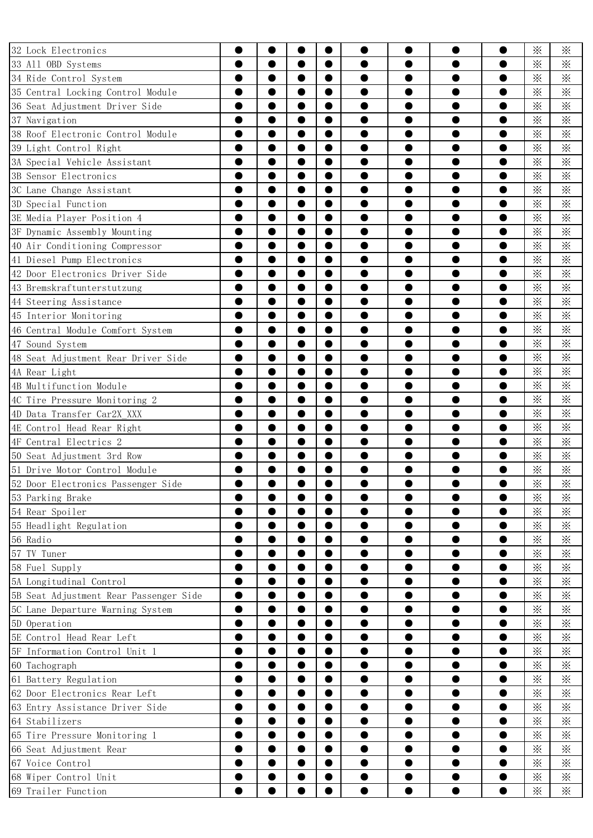| 32 Lock Electronics                    | ●         | 0<br>●    | O<br>$\bullet$ | $\bullet$<br>$\bullet$ | 0<br>●    | ●         | ●         | 0<br>$\bullet$ | $\times$<br>$\times$ | ፠<br>$\times$ |
|----------------------------------------|-----------|-----------|----------------|------------------------|-----------|-----------|-----------|----------------|----------------------|---------------|
| 33 All OBD Systems                     |           |           |                |                        |           |           |           |                |                      |               |
| 34 Ride Control System                 |           |           | 0              | $\bullet$              |           |           |           | 0              | $\times$             | $\times$      |
| 35 Central Locking Control Module      | $\bullet$ | $\bullet$ | 0              | $\bullet$              | 0         |           | O         | 0              | $\times$             | $\times$      |
| 36 Seat Adjustment Driver Side         | ●         | ●         | ●              | $\bullet$              |           |           |           | $\bullet$      | $\times$             | $\times$      |
| 37 Navigation                          |           | 0         | O              | 0                      |           |           |           |                | $\ddot{\times}$      | $\times$      |
| 38 Roof Electronic Control Module      | 0         | $\bullet$ | 0              | $\bullet$              | 0         | O         | O         | O              | $\times$             | $\times$      |
| 39 Light Control Right                 | ●         | $\bullet$ | ●              | $\bullet$              | 0         | ●         | $\bullet$ | $\bullet$      | $\times$             | $\times$      |
| 3A Special Vehicle Assistant           |           | ●         | 0              | $\bullet$              |           |           |           | O              | $\times$             | $\times$      |
| 3B Sensor Electronics                  | O         | $\bullet$ | 0              | $\bullet$              |           |           |           |                | $\times$             | $\times$      |
| 3C Lane Change Assistant               |           | $\bullet$ | ●              | $\bullet$              |           |           |           | 0              | $\times$             | $\times$      |
| 3D Special Function                    |           | $\bullet$ | 0              | $\bullet$              |           |           |           |                | $\times$             | $\times$      |
| 3E Media Player Position 4             | ●         | $\bullet$ | $\bullet$      | $\bullet$              |           | 0         | O         | 0              | $\times$             | $\times$      |
| 3F Dynamic Assembly Mounting           |           | 0         | O              | 0                      |           |           |           |                | $\times$             | $\times$      |
| 40 Air Conditioning Compressor         |           | ●         | O              | 0                      |           |           |           | O              | $\times$             | $\times$      |
| 41 Diesel Pump Electronics             | ●         | $\bullet$ | ●              | $\bullet$              |           |           |           |                | $\times$             | $\times$      |
| 42 Door Electronics Driver Side        |           |           |                | 0                      |           |           |           |                | $\times$             | $\times$      |
| 43 Bremskraftunterstutzung             |           |           | 0              | $\bullet$              |           |           |           | 0              | $\times$             | $\times$      |
| 44 Steering Assistance                 | $\bullet$ | $\bullet$ | $\bullet$      | $\bullet$              | ●         | ●         | ●         | $\bullet$      | $\times$             | $\times$      |
| 45 Interior Monitoring                 |           |           |                | e                      |           |           |           | 0              | $\times$             | $\times$      |
| 46 Central Module Comfort System       |           |           | 0              | $\bullet$              |           |           |           | 0              | $\times$             | $\times$      |
| 47 Sound System                        | $\bullet$ | $\bullet$ | $\bullet$      | $\bullet$              |           | O         |           | 0              | $\times$             | $\times$      |
| 48 Seat Adjustment Rear Driver Side    |           | $\bullet$ | O              | 0                      |           |           |           |                | $\times$             | $\times$      |
| 4A Rear Light                          | $\bullet$ | $\bullet$ | $\bullet$      | $\bullet$              |           |           | 0         | $\bullet$      | $\times$             | $\times$      |
| 4B Multifunction Module                | ●         | $\bullet$ | O              | $\bullet$              |           | ●         | O         | 0              | $\times$             | $\times$      |
| 4C Tire Pressure Monitoring 2          |           | 0         | 0              |                        |           |           |           | O              | $\times$             | $\times$      |
| 4D Data Transfer Car2X XXX             | $\bullet$ | $\bullet$ | $\bullet$      | $\bullet$              | $\bullet$ |           | $\bullet$ | $\bullet$      | $\times$             | $\times$      |
| 4E Control Head Rear Right             |           | $\bullet$ | $\bullet$      | $\bullet$              |           |           |           | ●              | $\times$             | $\times$      |
| 4F Central Electrics 2                 |           |           |                |                        |           |           |           |                | $\times$             | $\times$      |
| 50 Seat Adjustment 3rd Row             | $\bullet$ | $\bullet$ | $\bullet$      | $\bullet$              |           |           | o         | $\bullet$      | $\times$             | $\times$      |
| 51 Drive Motor Control Module          |           |           |                |                        |           |           |           |                | $\times$             | $\times$      |
| 52 Door Electronics Passenger Side     |           |           |                |                        |           |           |           |                | $\times$             | $\times$      |
| 53 Parking Brake                       | $\bullet$ | $\bullet$ | $\bullet$      | $\bullet$              | $\bullet$ | $\bullet$ | $\bullet$ | $\bullet$      | $\times$             | $\times$      |
| 54 Rear Spoiler                        |           | ●         | ●              | $\bullet$              |           |           |           |                | $\times$             | $\times$      |
| 55 Headlight Regulation                |           | $\bullet$ | 0              | $\bullet$              | 0         |           |           | $\bullet$      | $\times$             | $\times$      |
| 56 Radio                               | $\bullet$ | $\bullet$ | $\bullet$      | $\bullet$              | 0         | 0         | 0         | 0              | $\times$             | $\times$      |
| 57 TV Tuner                            |           |           | $\bullet$      | $\bullet$              |           |           |           |                | $\times$             | $\times$      |
| 58 Fuel Supply                         |           |           | ●              | $\bullet$              |           |           |           |                | $\times$             | $\times$      |
|                                        |           |           |                |                        |           |           |           | $\bullet$      | $\times$             |               |
| 5A Longitudinal Control                | $\bullet$ | $\bullet$ | $\bullet$      | $\bullet$              | 0         | 0         | $\bullet$ |                |                      | $\times$      |
| 5B Seat Adjustment Rear Passenger Side | $\bullet$ |           | $\bullet$      | $\bullet$              |           | 0         |           | $\bullet$      | $\times$             | $\times$      |
| 5C Lane Departure Warning System       |           |           |                |                        |           |           |           |                | $\times$             | $\times$      |
| 5D Operation                           | $\bullet$ | $\bullet$ | $\bullet$      | 0                      | ●         | 0         | ●         | 0              | $\times$             | $\times$      |
| 5E Control Head Rear Left              |           |           | $\bullet$      | $\bullet$              |           |           |           | ●              | $\times$             | $\times$      |
| 5F Information Control Unit 1          |           |           |                | $\bullet$              |           |           |           |                | $\ddot{\times}$      | $\times$      |
| 60 Tachograph                          | $\bullet$ | $\bullet$ | $\bullet$      | 0                      | 0         | 0         | 0         | 0              | $\times$             | $\times$      |
| 61 Battery Regulation                  | $\bullet$ | $\bullet$ | $\bullet$      | $\bullet$              | ●         | ●         | ●         | $\bullet$      | $\times$             | $\times$      |
| 62 Door Electronics Rear Left          |           | 0         |                |                        |           |           |           | c              | $\times$             | $\times$      |
| 63 Entry Assistance Driver Side        | $\bullet$ | $\bullet$ | $\bullet$      | $\bullet$              | ●         | 0         | 0         | $\bullet$      | $\times$             | $\times$      |
| 64 Stabilizers                         | $\bullet$ | $\bullet$ | $\bullet$      | $\bullet$              |           |           |           | ●              | $\times$             | $\times$      |
| 65 Tire Pressure Monitoring 1          |           | $\bullet$ |                | $\bullet$              |           |           |           |                | $\ddot{\times}$      | $\times$      |
| 66 Seat Adjustment Rear                | $\bullet$ | $\bullet$ | $\bullet$      | $\bullet$              | $\bullet$ | 0         | $\bullet$ | 0              | $\times$             | $\times$      |
| 67 Voice Control                       | $\bullet$ | $\bullet$ | $\bullet$      | $\bullet$              | $\bullet$ | ●         | $\bullet$ | $\bullet$      | $\times$             | $\times$      |
| 68 Wiper Control Unit                  |           |           | $\bullet$      |                        |           |           |           | $\bullet$      | $\times$             | $\times$      |
| 69 Trailer Function                    |           |           |                |                        |           |           | ●         |                | $\times$             | $\times$      |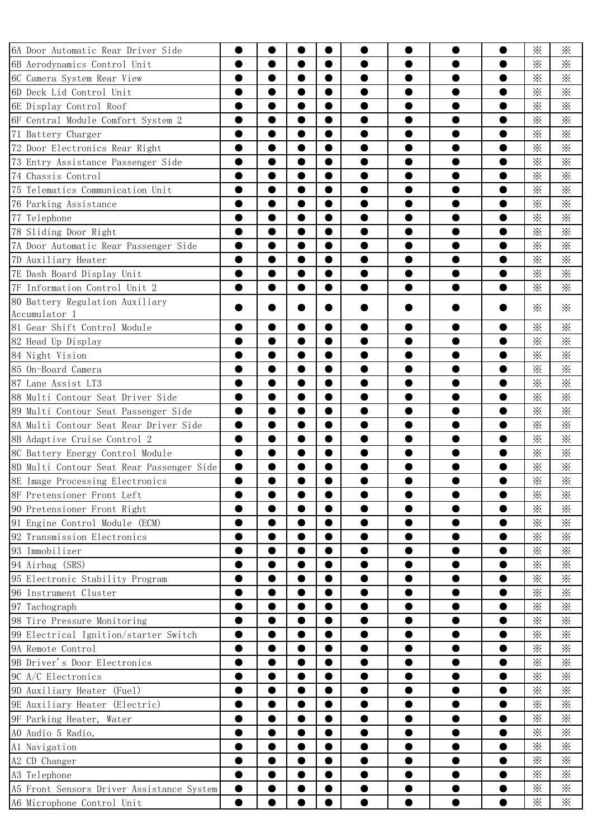| 6A Door Automatic Rear Driver Side        | ●         |           |           |           |           |           |   | $\bullet$ | $\times$        | ፠               |
|-------------------------------------------|-----------|-----------|-----------|-----------|-----------|-----------|---|-----------|-----------------|-----------------|
| 6B Aerodynamics Control Unit              | $\bullet$ | ●         | ●         | $\bullet$ | ●         | ●         | ● | $\bullet$ | $\times$        | ፠               |
| 6C Camera System Rear View                |           | 0         |           | 0         |           |           |   |           | $\times$        | $\times$        |
| 6D Deck Lid Control Unit                  | 0         | $\bullet$ | ●         | $\bullet$ | 0         | 0         | O | $\bullet$ | $\times$        | $\times$        |
| 6E Display Control Roof                   | ●         | ●         | ●         | $\bullet$ |           |           |   | ●         | $\times$        | $\times$        |
| 6F Central Module Comfort System 2        |           | 0         |           | 0         |           |           |   |           | $\ddot{\times}$ | $\times$        |
| 71 Battery Charger                        | $\bullet$ | $\bullet$ | 0         | $\bullet$ | 0         | 0         | O | O         | $\times$        | $\times$        |
| 72 Door Electronics Rear Right            | ●         | $\bullet$ | ●         | $\bullet$ | ●         | ●         | ● | $\bullet$ | $\times$        | $\times$        |
| 73 Entry Assistance Passenger Side        |           | 0         |           | 0         |           |           |   |           | $\times$        | $\times$        |
| 74 Chassis Control                        | ●         | $\bullet$ | ●         | 0         |           |           |   |           | $\times$        | $\times$        |
| 75 Telematics Communication Unit          | ●         | $\bullet$ | 0         | $\bullet$ |           |           |   | 0         | $\times$        | $\times$        |
| 76 Parking Assistance                     |           | ●         |           | ●         |           |           |   |           | $\times$        | $\times$        |
| 77 Telephone                              |           | $\bullet$ | ●         | $\bullet$ |           | 0         |   | e         | $\times$        | $\times$        |
| 78 Sliding Door Right                     |           | 0         |           |           |           |           |   |           | $\times$        | $\times$        |
| 7A Door Automatic Rear Passenger Side     |           | $\bullet$ |           |           |           |           |   |           | $\times$        | $\times$        |
| 7D Auxiliary Heater                       | ●         | ●         | ●         | $\bullet$ |           |           |   |           | $\times$        | $\times$        |
| 7E Dash Board Display Unit                |           | 0         |           | $\bullet$ |           |           |   |           | $\times$        | $\times$        |
| 7F Information Control Unit 2             |           | $\bullet$ | 0         | $\bullet$ |           |           |   | $\bullet$ | $\times$        | $\times$        |
| 80 Battery Regulation Auxiliary           |           |           |           |           |           |           |   |           |                 |                 |
| Accumulator 1                             |           |           |           |           |           |           |   |           | $\times$        | $\times$        |
| 81 Gear Shift Control Module              |           | 0         |           | $\bullet$ |           |           |   |           | $\times$        | $\ddot{\times}$ |
| 82 Head Up Display                        |           | 0         |           |           |           |           |   |           | $\times$        | $\times$        |
| 84 Night Vision                           | ●         | $\bullet$ | $\bullet$ | $\bullet$ |           | 0         |   | ●         | $\times$        | $\times$        |
| 85 On-Board Camera                        |           | ●         |           | $\bullet$ |           |           |   | O         | $\times$        | $\times$        |
| 87 Lane Assist LT3                        |           | $\bullet$ | ●         | 0         |           |           |   |           | $\ddot{\times}$ | $\times$        |
| 88 Multi Contour Seat Driver Side         | $\bullet$ | $\bullet$ | $\bullet$ | $\bullet$ | ●         | $\bullet$ | O | $\bullet$ | $\times$        | $\times$        |
| 89 Multi Contour Seat Passenger Side      |           | 0         |           | $\bullet$ |           |           |   |           | $\times$        | $\times$        |
| 8A Multi Contour Seat Rear Driver Side    | $\bullet$ | $\bullet$ |           | 0         |           |           |   |           | $\times$        | $\times$        |
| 8B Adaptive Cruise Control 2              | $\bullet$ | $\bullet$ | $\bullet$ | $\bullet$ |           | D         |   |           | $\times$        | $\times$        |
| 8C Battery Energy Control Module          |           | ●         |           | $\bullet$ |           |           |   |           | $\times$        | $\times$        |
| 8D Multi Contour Seat Rear Passenger Side |           |           |           |           |           |           |   |           | $\times$        | $\times$        |
| 8E Image Processing Electronics           |           |           |           |           |           |           |   |           | $\times$        | $\times$        |
| 8F Pretensioner Front Left                |           |           |           |           |           |           |   |           | $\times$        | ፠               |
| 90 Pretensioner Front Right               |           | $\bullet$ | ●         | $\bullet$ |           |           | O |           | $\times$        | $\times$        |
| 91 Engine Control Module (ECM)            |           | 0         | ●         | $\bullet$ |           |           |   |           | $\times$        | $\times$        |
| 92 Transmission Electronics               |           | O         |           | 0         |           |           |   |           | $\times$        | $\times$        |
| 93 Immobilizer                            |           | $\bullet$ | 0         | $\bullet$ |           | $\bullet$ | 0 | $\bullet$ | $\times$        | $\times$        |
| 94 Airbag (SRS)                           |           | $\bullet$ | ●         | $\bullet$ |           |           |   |           | $\times$        | $\times$        |
| 95 Electronic Stability Program           |           |           |           | $\bullet$ |           |           |   |           | $\times$        | $\times$        |
| 96 Instrument Cluster                     |           | $\bullet$ | 0         | $\bullet$ |           | $\bullet$ | ● | $\bullet$ | $\times$        | $\times$        |
| 97 Tachograph                             |           | $\bullet$ | 0         | $\bullet$ |           |           |   |           | $\times$        | $\times$        |
| 98 Tire Pressure Monitoring               |           | 0         |           |           |           |           |   |           | $\times$        | $\times$        |
| 99 Electrical Ignition/starter Switch     | $\bullet$ | $\bullet$ | 0         | $\bullet$ | $\bullet$ | $\bullet$ | ● | $\bullet$ | $\times$        | $\times$        |
| 9A Remote Control                         |           | ●         | ●         | $\bullet$ |           |           |   |           | $\times$        | $\times$        |
| 9B Driver's Door Electronics              |           |           |           |           |           |           |   |           | $\times$        | $\times$        |
| 9C A/C Electronics                        |           | 0         | 0         | 0         | $\bullet$ | D         | ● | 0         | $\times$        | $\times$        |
| 9D Auxiliary Heater (Fuel)                |           | 0         | 0         | $\bullet$ |           |           |   |           | $\times$        | $\times$        |
| 9E Auxiliary Heater (Electric)            |           |           |           |           |           |           |   |           | $\times$        | $\times$        |
| 9F Parking Heater, Water                  |           | 0         | 0         | 0         | $\bullet$ | $\bullet$ |   | $\bullet$ | $\times$        | $\times$        |
| AO Audio 5 Radio,                         |           |           | 0         | $\bullet$ |           |           |   |           | $\times$        | $\times$        |
| Al Navigation                             |           |           |           | $\bullet$ |           |           |   |           | $\times$        | $\times$        |
| A2 CD Changer                             |           | $\bullet$ | $\bullet$ | $\bullet$ | 0         | $\bullet$ | 0 | $\bullet$ | $\times$        | $\times$        |
| A3 Telephone                              | ●         | $\bullet$ | 0         | $\bullet$ |           |           | 0 | $\bullet$ | $\times$        | $\times$        |
| A5 Front Sensors Driver Assistance System |           | ●         |           | 0         |           |           |   | c         | $\times$        | $\times$        |
| A6 Microphone Control Unit                | ●         |           |           |           |           |           | ● |           | $\times$        | $\times$        |
|                                           |           |           |           |           |           |           |   |           |                 |                 |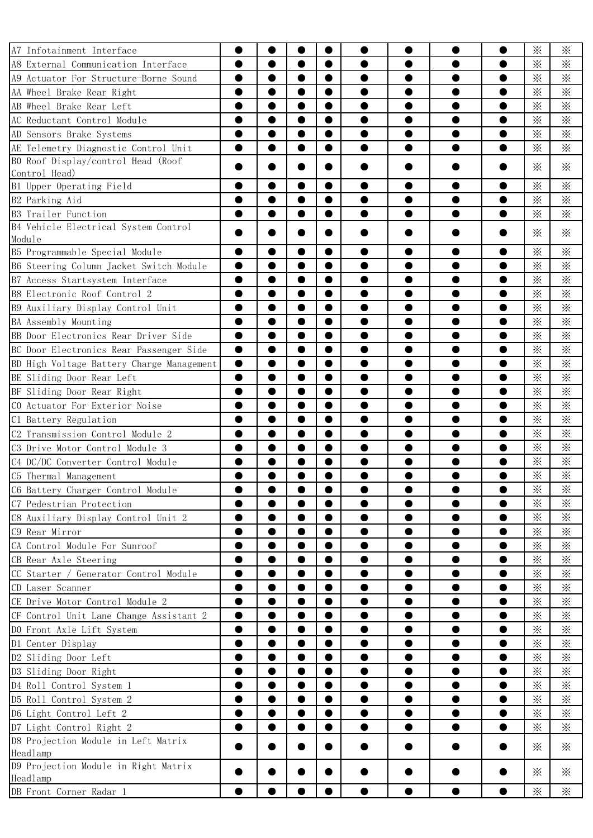| A7 Infotainment Interface                      |           |           |           |           |           |           |           |           | $\times$           | $\times$           |
|------------------------------------------------|-----------|-----------|-----------|-----------|-----------|-----------|-----------|-----------|--------------------|--------------------|
| A8 External Communication Interface            | ●         |           | ●         | $\bullet$ |           |           |           | ●         | $\times$           | ፠                  |
| A9 Actuator For Structure-Borne Sound          |           |           |           |           |           |           |           |           | $\times$           | $\times$           |
| AA Wheel Brake Rear Right                      | $\bullet$ | $\bullet$ | 0         | 0         |           |           |           | O         | $\times$           | $\times$           |
| AB Wheel Brake Rear Left                       | ●         | ●         | ●         | $\bullet$ |           |           |           | ●         | $\times$           | $\times$           |
| AC Reductant Control Module                    |           |           | O         | 0         |           |           |           |           | $\ddot{\times}$    | $\times$           |
| AD Sensors Brake Systems                       |           | $\bullet$ | 0         | 0         |           | D         |           |           | $\times$           | $\times$           |
| AE Telemetry Diagnostic Control Unit           | ●         | $\bullet$ | ●         | $\bullet$ | ●         |           | ●         | $\bullet$ | $\times$           | $\times$           |
| BO Roof Display/control Head (Roof             |           |           |           |           |           |           |           |           | $\times$           | $\times$           |
| Control Head)                                  |           |           |           |           |           |           |           |           |                    |                    |
| B1 Upper Operating Field                       |           |           |           |           |           |           |           |           | $\times$           | $\times$           |
| B2 Parking Aid                                 | ●         | $\bullet$ | ●         | $\bullet$ |           |           |           | ●         | $\times$           | $\times$           |
| B3 Trailer Function                            |           | ●         | O         | $\bullet$ |           |           |           | ●         | $\times$           | $\times$           |
| B4 Vehicle Electrical System Control<br>Module |           |           |           |           |           |           |           |           | $\times$           | $\times$           |
| B5 Programmable Special Module                 |           |           |           |           |           |           |           |           | $\times$           | $\times$           |
| B6 Steering Column Jacket Switch Module        | $\bullet$ |           | ●         | $\bullet$ |           |           |           |           | $\times$           | $\times$           |
| B7 Access Startsystem Interface                |           |           |           |           |           |           |           |           | $\times$           | $\times$           |
| B8 Electronic Roof Control 2                   |           |           |           |           |           |           |           |           | $\times$           | $\times$           |
| B9 Auxiliary Display Control Unit              | ●         |           | O         | $\bullet$ |           |           |           |           | $\times$           | $\times$           |
| BA Assembly Mounting                           |           |           |           |           |           |           |           |           | $\times$           | $\times$           |
|                                                |           |           |           |           |           |           |           |           |                    |                    |
| BB Door Electronics Rear Driver Side           |           | $\bullet$ | 0         | $\bullet$ |           |           |           | 0         | $\times$           | $\times$           |
| BC Door Electronics Rear Passenger Side        | $\bullet$ |           | O         | $\bullet$ |           |           |           |           | $\times$           | $\times$           |
| BD High Voltage Battery Charge Management      | 0         |           |           |           |           |           |           |           | $\times$           | $\times$           |
| BE Sliding Door Rear Left                      | $\bullet$ | $\bullet$ | $\bullet$ | $\bullet$ |           |           |           | 0         | $\times$           | $\times$           |
| BF Sliding Door Rear Right                     |           |           | ●         | $\bullet$ |           |           |           |           | $\times$           | $\times$           |
| CO Actuator For Exterior Noise                 |           |           |           |           |           |           |           |           | $\times$           | $\times$           |
| C1 Battery Regulation                          | $\bullet$ | $\bullet$ | $\bullet$ | $\bullet$ | ●         |           |           |           | $\times$           | $\times$           |
| C2 Transmission Control Module 2               |           |           | ●         | $\bullet$ |           |           |           |           | $\times$           | $\times$           |
| C3 Drive Motor Control Module 3                |           |           |           |           |           |           |           |           | $\times$           | $\times$           |
| C4 DC/DC Converter Control Module              | $\bullet$ | ●         | $\bullet$ | $\bullet$ |           |           |           | 0         | $\times$           | $\times$           |
| C5 Thermal Management                          |           |           | O         | 0         |           |           |           |           | $\times$<br>$\sim$ | $\times$<br>$\sim$ |
| C6 Battery Charger Control Module              |           |           |           |           |           |           |           |           | $\times$           | ✕                  |
| C7 Pedestrian Protection                       | $\bullet$ | $\bullet$ | $\bullet$ | $\bullet$ | 0         | 0         | $\bullet$ | $\bullet$ | $\times$           | $\times$           |
| C8 Auxiliary Display Control Unit 2            | $\bullet$ | $\bullet$ | $\bullet$ | $\bullet$ |           | 0         |           | ●         | $\times$           | $\times$           |
| C9 Rear Mirror                                 |           |           |           | $\bullet$ |           |           |           |           | $\times$           | $\times$           |
| CA Control Module For Sunroof                  | $\bullet$ | $\bullet$ | $\bullet$ | $\bullet$ | ●         | $\bullet$ | $\bullet$ | $\bullet$ | $\times$           | $\times$           |
| CB Rear Axle Steering                          |           |           | O         | $\bullet$ |           |           |           | ●         | $\times$           | $\times$           |
| CC Starter / Generator Control Module          |           |           |           |           |           |           |           |           | $\times$           | $\times$           |
| CD Laser Scanner                               | $\bullet$ | $\bullet$ | $\bullet$ | $\bullet$ | ●         | $\bullet$ | $\bullet$ | $\bullet$ | $\times$           | $\times$           |
| CE Drive Motor Control Module 2                |           | ●         | $\bullet$ | $\bullet$ |           |           |           | ●         | $\times$           | $\times$           |
| CF Control Unit Lane Change Assistant 2        |           | $\bullet$ | $\bullet$ | $\bullet$ |           |           |           |           | $\ddot{\times}$    | $\times$           |
| DO Front Axle Lift System                      | $\bullet$ | $\bullet$ | $\bullet$ | $\bullet$ | ●         | O         |           |           | $\times$           | $\times$           |
| D1 Center Display                              | ●         | $\bullet$ | $\bullet$ | $\bullet$ | $\bullet$ | ●         | $\bullet$ | $\bullet$ | $\times$           | $\times$           |
| D2 Sliding Door Left                           |           | $\bullet$ | ●         | $\bullet$ |           |           |           | 0         | $\times$           | $\times$           |
| D3 Sliding Door Right                          | $\bullet$ | $\bullet$ | $\bullet$ | $\bullet$ | 0         | 0         | $\bullet$ | 0         | $\times$           | $\times$           |
| D4 Roll Control System 1                       | ●         | $\bullet$ | $\bullet$ | $\bullet$ | 0         | ●         | ●         | $\bullet$ | $\times$           | $\times$           |
| D5 Roll Control System 2                       |           | $\bullet$ | ●         | $\bullet$ |           |           |           |           | $\ddot{\times}$    | $\times$           |
| D6 Light Control Left 2                        |           | $\bullet$ | $\bullet$ | $\bullet$ | 0         | 0         | $\bullet$ | 0         | $\times$           | $\times$           |
| D7 Light Control Right 2                       | $\bullet$ | $\bullet$ | ●         | $\bullet$ | 0         | ●         | ●         | $\bullet$ | $\times$           | $\times$           |
| D8 Projection Module in Left Matrix            |           |           |           |           |           |           |           |           | ⋇                  | ⋇                  |
| Headlamp                                       |           |           |           |           |           |           |           |           |                    |                    |
| D9 Projection Module in Right Matrix           |           |           |           |           |           |           |           |           | $\times$           | ፠                  |
| Headlamp                                       |           |           |           |           |           |           |           |           |                    |                    |
| DB Front Corner Radar 1                        | $\bullet$ |           |           |           |           |           |           |           | $\times$           | $\times$           |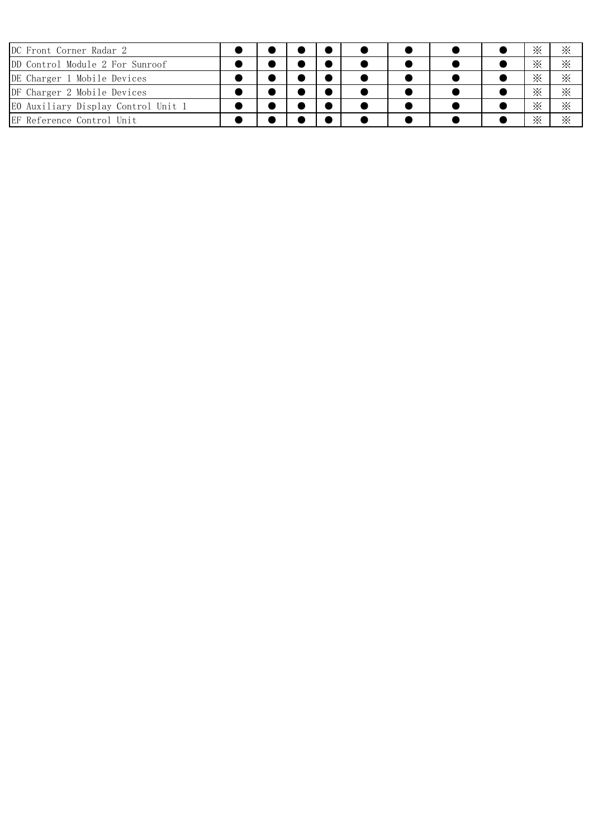| DC Front Corner Radar 2             |  |  |  |  | ፠ | ፠        |
|-------------------------------------|--|--|--|--|---|----------|
| DD Control Module 2 For Sunroof     |  |  |  |  | ፠ | ፠        |
| DE Charger 1 Mobile Devices         |  |  |  |  | ፠ | $\times$ |
| DF Charger 2 Mobile Devices         |  |  |  |  | ፠ | $\times$ |
| EO Auxiliary Display Control Unit 1 |  |  |  |  | ፠ | $\times$ |
| EF Reference Control Unit           |  |  |  |  | ፠ | $\times$ |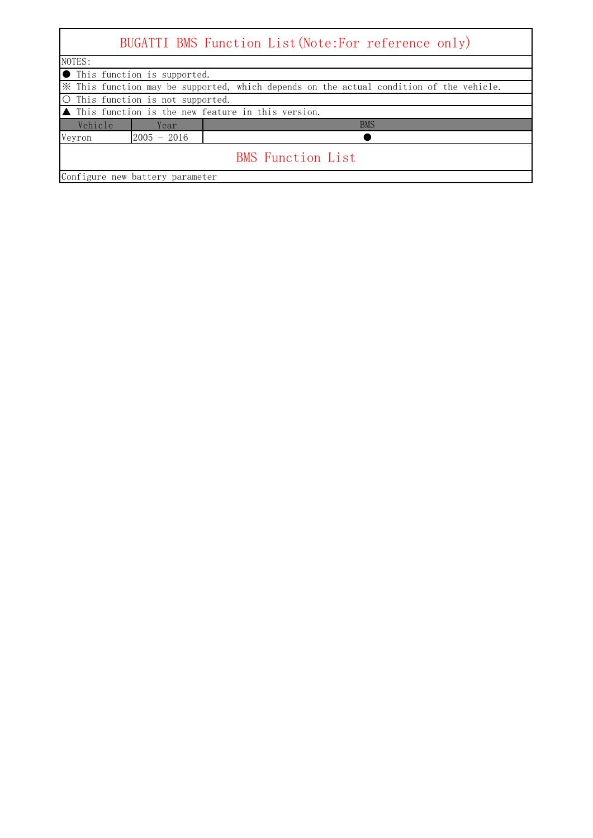| NOTES:  |                                 |                                                                                         |
|---------|---------------------------------|-----------------------------------------------------------------------------------------|
|         | This function is supported.     |                                                                                         |
|         |                                 | * This function may be supported, which depends on the actual condition of the vehicle. |
|         | This function is not supported. |                                                                                         |
|         |                                 | $\blacksquare$ This function is the new feature in this version.                        |
| Vehicle | Year                            | <b>BMS</b>                                                                              |
| Veyron  | $2005 - 2016$                   |                                                                                         |
|         |                                 | <b>BMS</b> Function List                                                                |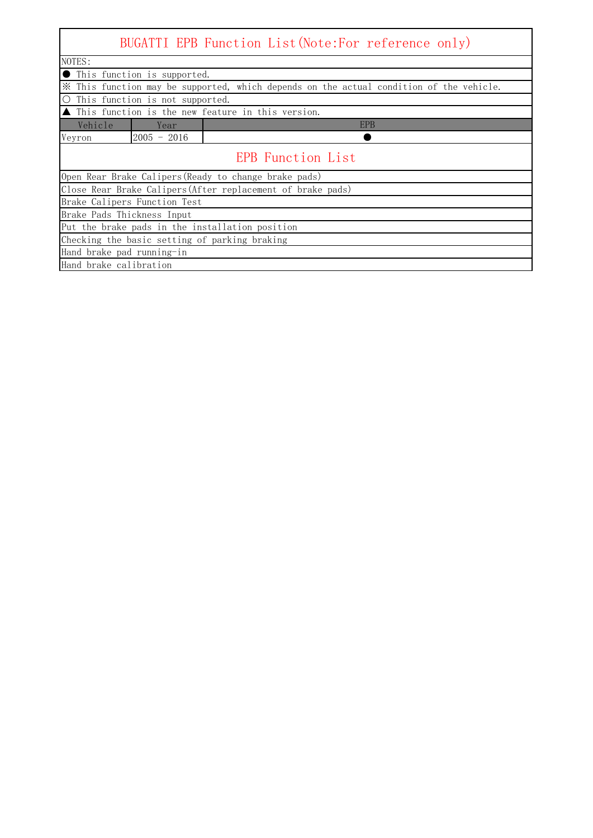|                                                                                         |                                                 | BUGATTI EPB Function List (Note: For reference only)        |  |  |  |  |  |  |
|-----------------------------------------------------------------------------------------|-------------------------------------------------|-------------------------------------------------------------|--|--|--|--|--|--|
| NOTES:                                                                                  |                                                 |                                                             |  |  |  |  |  |  |
| ● This function is supported.                                                           |                                                 |                                                             |  |  |  |  |  |  |
| X This function may be supported, which depends on the actual condition of the vehicle. |                                                 |                                                             |  |  |  |  |  |  |
| $\bigcirc$                                                                              | This function is not supported.                 |                                                             |  |  |  |  |  |  |
|                                                                                         |                                                 | ▲ This function is the new feature in this version.         |  |  |  |  |  |  |
| Vehicle                                                                                 | Year                                            | <b>EPB</b>                                                  |  |  |  |  |  |  |
| Veyron                                                                                  | $2005 - 2016$                                   |                                                             |  |  |  |  |  |  |
|                                                                                         | <b>EPB</b> Function List                        |                                                             |  |  |  |  |  |  |
|                                                                                         |                                                 | Open Rear Brake Calipers (Ready to change brake pads)       |  |  |  |  |  |  |
|                                                                                         |                                                 | Close Rear Brake Calipers (After replacement of brake pads) |  |  |  |  |  |  |
|                                                                                         | Brake Calipers Function Test                    |                                                             |  |  |  |  |  |  |
| Brake Pads Thickness Input                                                              |                                                 |                                                             |  |  |  |  |  |  |
|                                                                                         | Put the brake pads in the installation position |                                                             |  |  |  |  |  |  |
|                                                                                         |                                                 | Checking the basic setting of parking braking               |  |  |  |  |  |  |
| Hand brake pad running-in                                                               |                                                 |                                                             |  |  |  |  |  |  |
| Hand brake calibration                                                                  |                                                 |                                                             |  |  |  |  |  |  |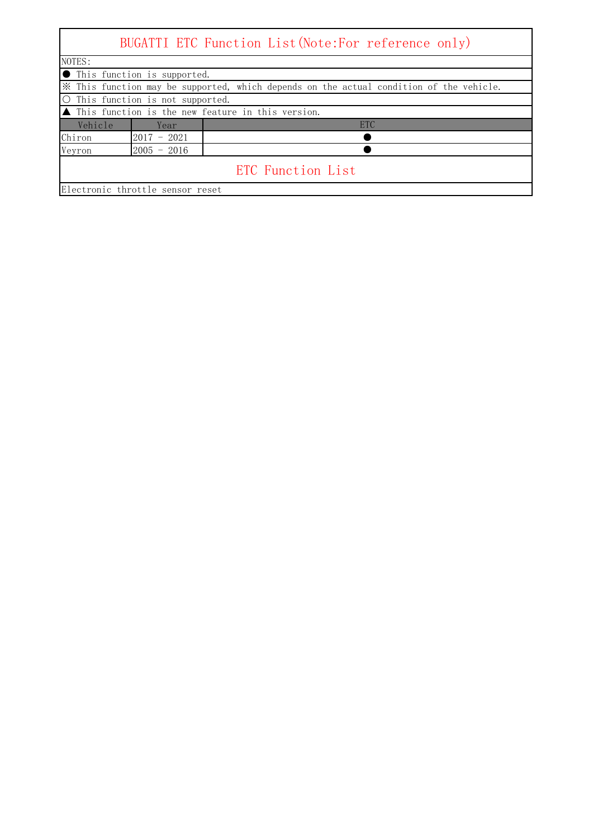| BUGATTI ETC Function List (Note: For reference only) |                                                                                         |                                                                    |  |  |  |  |  |  |
|------------------------------------------------------|-----------------------------------------------------------------------------------------|--------------------------------------------------------------------|--|--|--|--|--|--|
| NOTES:                                               |                                                                                         |                                                                    |  |  |  |  |  |  |
|                                                      | <b>O</b> This function is supported.                                                    |                                                                    |  |  |  |  |  |  |
|                                                      | * This function may be supported, which depends on the actual condition of the vehicle. |                                                                    |  |  |  |  |  |  |
|                                                      | O This function is not supported.                                                       |                                                                    |  |  |  |  |  |  |
|                                                      |                                                                                         | $\blacktriangle$ This function is the new feature in this version. |  |  |  |  |  |  |
| Vehicle                                              | Year                                                                                    | <b>ETC</b>                                                         |  |  |  |  |  |  |
| Chiron                                               | $2017 - 2021$                                                                           |                                                                    |  |  |  |  |  |  |
| Veyron                                               | $2005 - 2016$                                                                           |                                                                    |  |  |  |  |  |  |
|                                                      | ETC Function List                                                                       |                                                                    |  |  |  |  |  |  |
| Electronic throttle sensor reset                     |                                                                                         |                                                                    |  |  |  |  |  |  |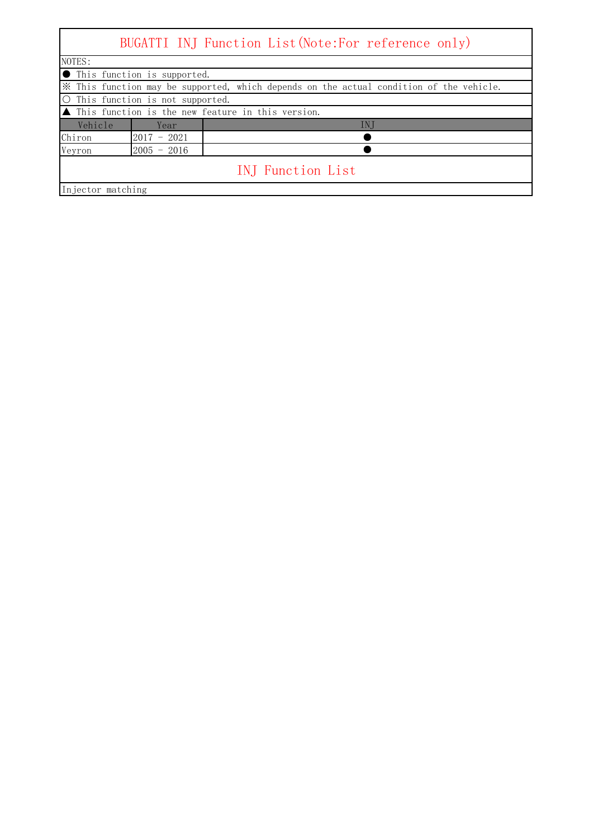|                   | BUGATTI INJ Function List (Note: For reference only)                                    |                                                                    |  |  |  |  |  |
|-------------------|-----------------------------------------------------------------------------------------|--------------------------------------------------------------------|--|--|--|--|--|
| NOTES:            |                                                                                         |                                                                    |  |  |  |  |  |
|                   | <b>O</b> This function is supported.                                                    |                                                                    |  |  |  |  |  |
|                   | * This function may be supported, which depends on the actual condition of the vehicle. |                                                                    |  |  |  |  |  |
|                   | O This function is not supported.                                                       |                                                                    |  |  |  |  |  |
|                   |                                                                                         | $\blacktriangle$ This function is the new feature in this version. |  |  |  |  |  |
| Vehicle           | Year                                                                                    | IN J                                                               |  |  |  |  |  |
| Chiron            | $2017 - 2021$                                                                           |                                                                    |  |  |  |  |  |
| Veyron            | $2005 - 2016$                                                                           |                                                                    |  |  |  |  |  |
|                   | INJ Function List                                                                       |                                                                    |  |  |  |  |  |
| Injector matching |                                                                                         |                                                                    |  |  |  |  |  |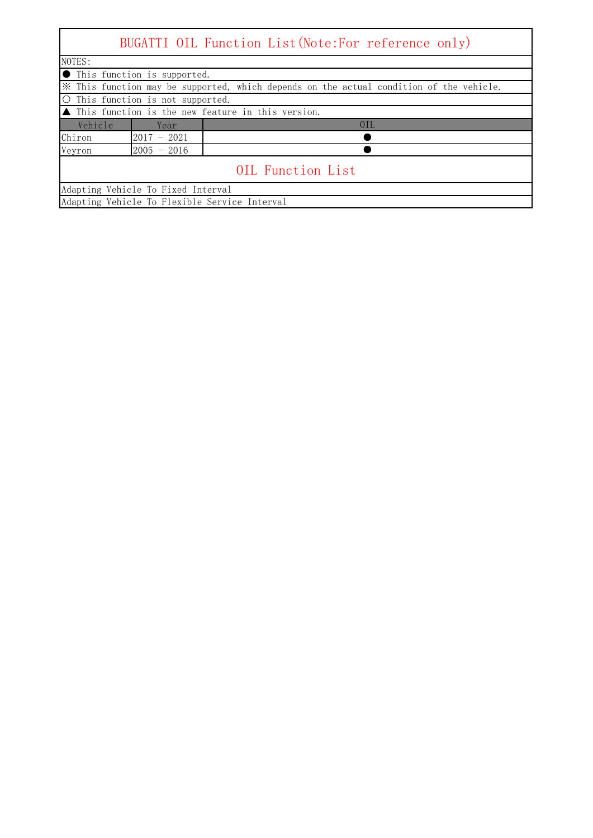## BUGATTI OIL Function List(Note:For reference only)

 $\mathsf{l}$ 

| NOTES:                                                                                  |                                       |  |  |  |  |  |  |
|-----------------------------------------------------------------------------------------|---------------------------------------|--|--|--|--|--|--|
|                                                                                         | <b>In This function is supported.</b> |  |  |  |  |  |  |
| X This function may be supported, which depends on the actual condition of the vehicle. |                                       |  |  |  |  |  |  |
| O This function is not supported.                                                       |                                       |  |  |  |  |  |  |
| $\blacktriangle$ This function is the new feature in this version.                      |                                       |  |  |  |  |  |  |
| Vehicle<br>Year                                                                         | 0IL                                   |  |  |  |  |  |  |
| Chiron<br>$2017 - 2021$                                                                 |                                       |  |  |  |  |  |  |
| Veyron<br>$2005 - 2016$                                                                 |                                       |  |  |  |  |  |  |
| OIL Function List                                                                       |                                       |  |  |  |  |  |  |
| Adapting Vehicle To Fixed Interval                                                      |                                       |  |  |  |  |  |  |
| Adapting Vehicle To Flexible Service Interval                                           |                                       |  |  |  |  |  |  |